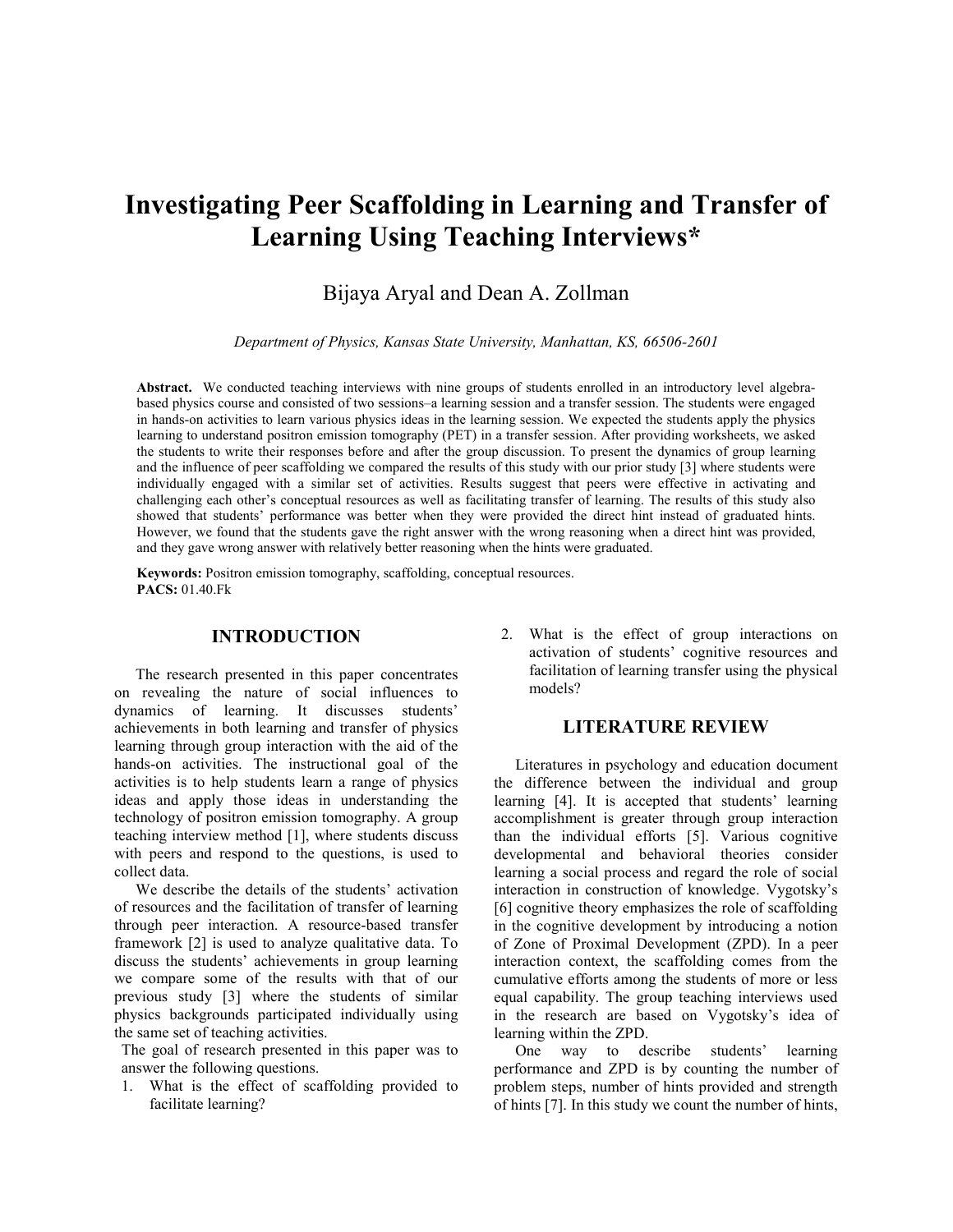# Investigating Peer Scaffolding in Learning and Transfer of Learning Using Teaching Interviews\*

## Bijaya Aryal and Dean A. Zollman

Department of Physics, Kansas State University, Manhattan, KS, 66506-2601

Abstract. We conducted teaching interviews with nine groups of students enrolled in an introductory level algebrabased physics course and consisted of two sessions–a learning session and a transfer session. The students were engaged in hands-on activities to learn various physics ideas in the learning session. We expected the students apply the physics learning to understand positron emission tomography (PET) in a transfer session. After providing worksheets, we asked the students to write their responses before and after the group discussion. To present the dynamics of group learning and the influence of peer scaffolding we compared the results of this study with our prior study [3] where students were individually engaged with a similar set of activities. Results suggest that peers were effective in activating and challenging each other's conceptual resources as well as facilitating transfer of learning. The results of this study also showed that students' performance was better when they were provided the direct hint instead of graduated hints. However, we found that the students gave the right answer with the wrong reasoning when a direct hint was provided, and they gave wrong answer with relatively better reasoning when the hints were graduated.

Keywords: Positron emission tomography, scaffolding, conceptual resources. PACS: 01.40.Fk

## INTRODUCTION

The research presented in this paper concentrates on revealing the nature of social influences to dynamics of learning. It discusses students' achievements in both learning and transfer of physics learning through group interaction with the aid of the hands-on activities. The instructional goal of the activities is to help students learn a range of physics ideas and apply those ideas in understanding the technology of positron emission tomography. A group teaching interview method [1], where students discuss with peers and respond to the questions, is used to collect data.

We describe the details of the students' activation of resources and the facilitation of transfer of learning through peer interaction. A resource-based transfer framework [2] is used to analyze qualitative data. To discuss the students' achievements in group learning we compare some of the results with that of our previous study [3] where the students of similar physics backgrounds participated individually using the same set of teaching activities.

The goal of research presented in this paper was to answer the following questions.

1. What is the effect of scaffolding provided to facilitate learning?

2. What is the effect of group interactions on activation of students' cognitive resources and facilitation of learning transfer using the physical models?

## LITERATURE REVIEW

Literatures in psychology and education document the difference between the individual and group learning [4]. It is accepted that students' learning accomplishment is greater through group interaction than the individual efforts [5]. Various cognitive developmental and behavioral theories consider learning a social process and regard the role of social interaction in construction of knowledge. Vygotsky's [6] cognitive theory emphasizes the role of scaffolding in the cognitive development by introducing a notion of Zone of Proximal Development (ZPD). In a peer interaction context, the scaffolding comes from the cumulative efforts among the students of more or less equal capability. The group teaching interviews used in the research are based on Vygotsky's idea of learning within the ZPD.

One way to describe students' learning performance and ZPD is by counting the number of problem steps, number of hints provided and strength of hints [7]. In this study we count the number of hints,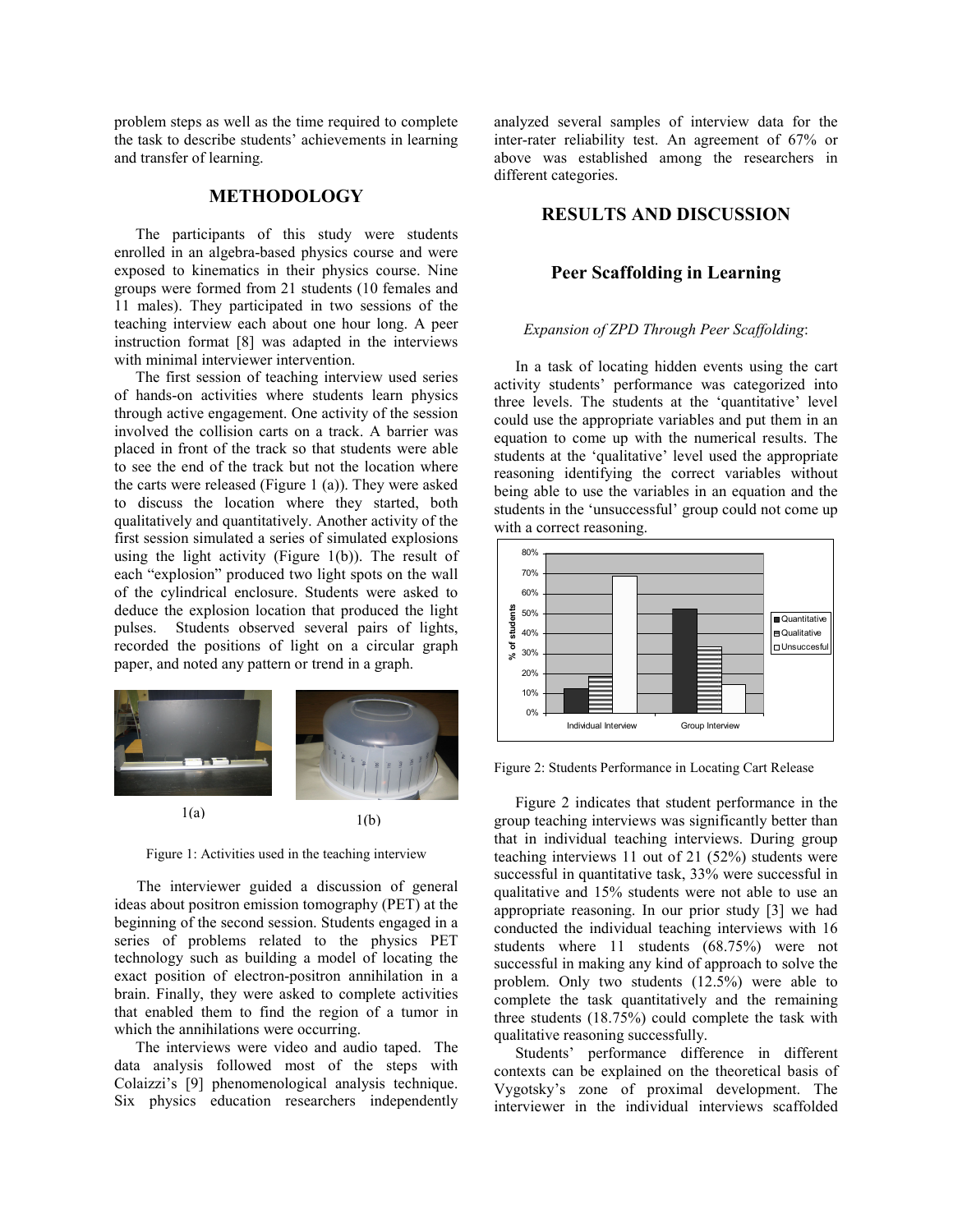problem steps as well as the time required to complete the task to describe students' achievements in learning and transfer of learning.

## METHODOLOGY

The participants of this study were students enrolled in an algebra-based physics course and were exposed to kinematics in their physics course. Nine groups were formed from 21 students (10 females and 11 males). They participated in two sessions of the teaching interview each about one hour long. A peer instruction format [8] was adapted in the interviews with minimal interviewer intervention.

The first session of teaching interview used series of hands-on activities where students learn physics through active engagement. One activity of the session involved the collision carts on a track. A barrier was placed in front of the track so that students were able to see the end of the track but not the location where the carts were released (Figure 1 (a)). They were asked to discuss the location where they started, both qualitatively and quantitatively. Another activity of the first session simulated a series of simulated explosions using the light activity (Figure  $1(b)$ ). The result of each "explosion" produced two light spots on the wall of the cylindrical enclosure. Students were asked to deduce the explosion location that produced the light pulses. Students observed several pairs of lights, recorded the positions of light on a circular graph paper, and noted any pattern or trend in a graph.



Figure 1: Activities used in the teaching interview

The interviewer guided a discussion of general ideas about positron emission tomography (PET) at the beginning of the second session. Students engaged in a series of problems related to the physics PET technology such as building a model of locating the exact position of electron-positron annihilation in a brain. Finally, they were asked to complete activities that enabled them to find the region of a tumor in which the annihilations were occurring.

The interviews were video and audio taped. The data analysis followed most of the steps with Colaizzi's [9] phenomenological analysis technique. Six physics education researchers independently analyzed several samples of interview data for the inter-rater reliability test. An agreement of 67% or above was established among the researchers in different categories.

## RESULTS AND DISCUSSION

## Peer Scaffolding in Learning

#### Expansion of ZPD Through Peer Scaffolding:

In a task of locating hidden events using the cart activity students' performance was categorized into three levels. The students at the 'quantitative' level could use the appropriate variables and put them in an equation to come up with the numerical results. The students at the 'qualitative' level used the appropriate reasoning identifying the correct variables without being able to use the variables in an equation and the students in the 'unsuccessful' group could not come up with a correct reasoning.



Figure 2: Students Performance in Locating Cart Release

Figure 2 indicates that student performance in the group teaching interviews was significantly better than that in individual teaching interviews. During group teaching interviews 11 out of 21 (52%) students were successful in quantitative task, 33% were successful in qualitative and 15% students were not able to use an appropriate reasoning. In our prior study [3] we had conducted the individual teaching interviews with 16 students where 11 students (68.75%) were not successful in making any kind of approach to solve the problem. Only two students (12.5%) were able to complete the task quantitatively and the remaining three students (18.75%) could complete the task with qualitative reasoning successfully.

Students' performance difference in different contexts can be explained on the theoretical basis of Vygotsky's zone of proximal development. The interviewer in the individual interviews scaffolded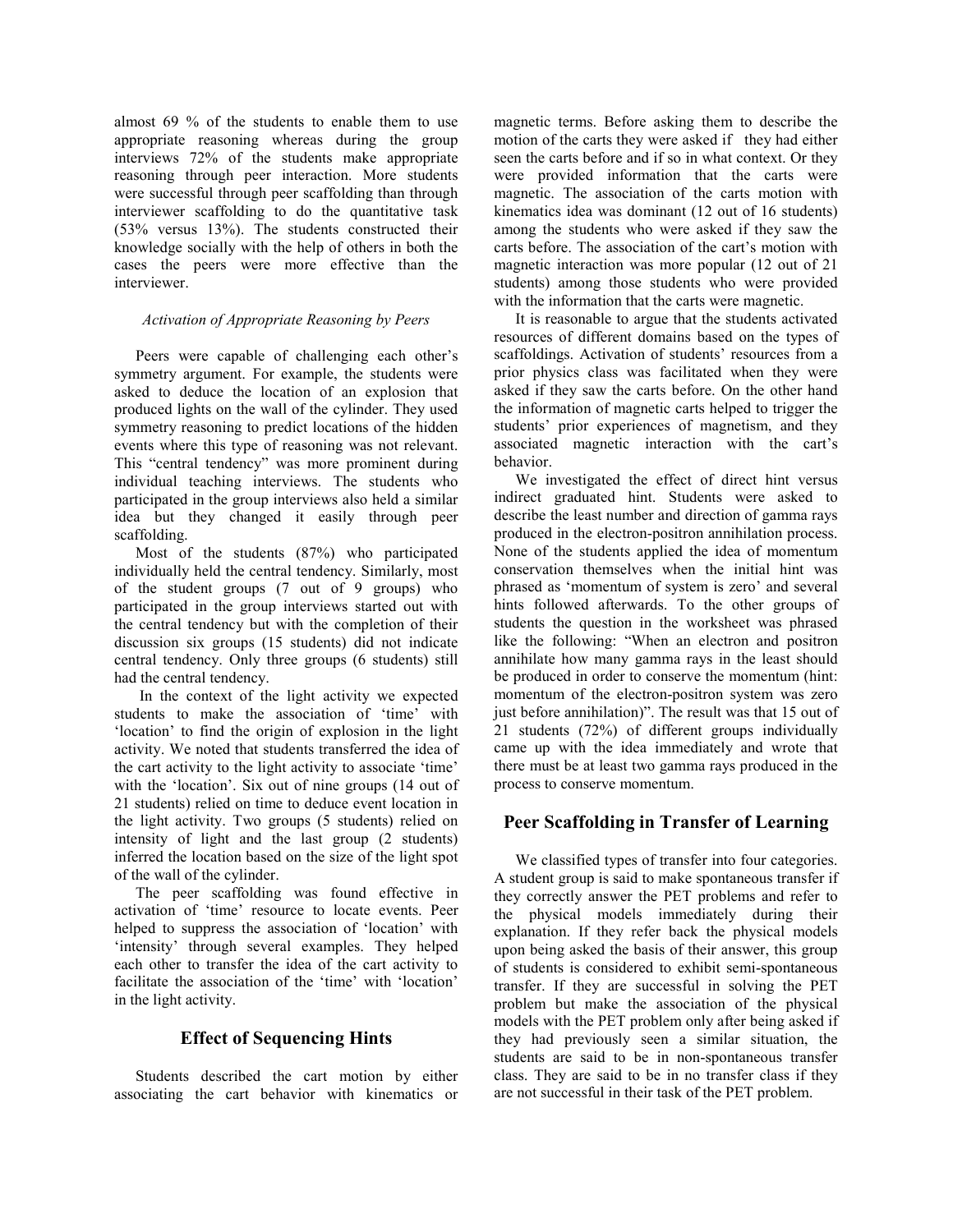almost 69 % of the students to enable them to use appropriate reasoning whereas during the group interviews 72% of the students make appropriate reasoning through peer interaction. More students were successful through peer scaffolding than through interviewer scaffolding to do the quantitative task (53% versus 13%). The students constructed their knowledge socially with the help of others in both the cases the peers were more effective than the interviewer.

#### Activation of Appropriate Reasoning by Peers

Peers were capable of challenging each other's symmetry argument. For example, the students were asked to deduce the location of an explosion that produced lights on the wall of the cylinder. They used symmetry reasoning to predict locations of the hidden events where this type of reasoning was not relevant. This "central tendency" was more prominent during individual teaching interviews. The students who participated in the group interviews also held a similar idea but they changed it easily through peer scaffolding.

Most of the students (87%) who participated individually held the central tendency. Similarly, most of the student groups (7 out of 9 groups) who participated in the group interviews started out with the central tendency but with the completion of their discussion six groups (15 students) did not indicate central tendency. Only three groups (6 students) still had the central tendency.

 In the context of the light activity we expected students to make the association of 'time' with 'location' to find the origin of explosion in the light activity. We noted that students transferred the idea of the cart activity to the light activity to associate 'time' with the 'location'. Six out of nine groups (14 out of 21 students) relied on time to deduce event location in the light activity. Two groups (5 students) relied on intensity of light and the last group (2 students) inferred the location based on the size of the light spot of the wall of the cylinder.

The peer scaffolding was found effective in activation of 'time' resource to locate events. Peer helped to suppress the association of 'location' with 'intensity' through several examples. They helped each other to transfer the idea of the cart activity to facilitate the association of the 'time' with 'location' in the light activity.

## Effect of Sequencing Hints

Students described the cart motion by either associating the cart behavior with kinematics or magnetic terms. Before asking them to describe the motion of the carts they were asked if they had either seen the carts before and if so in what context. Or they were provided information that the carts were magnetic. The association of the carts motion with kinematics idea was dominant (12 out of 16 students) among the students who were asked if they saw the carts before. The association of the cart's motion with magnetic interaction was more popular (12 out of 21 students) among those students who were provided with the information that the carts were magnetic.

It is reasonable to argue that the students activated resources of different domains based on the types of scaffoldings. Activation of students' resources from a prior physics class was facilitated when they were asked if they saw the carts before. On the other hand the information of magnetic carts helped to trigger the students' prior experiences of magnetism, and they associated magnetic interaction with the cart's behavior.

We investigated the effect of direct hint versus indirect graduated hint. Students were asked to describe the least number and direction of gamma rays produced in the electron-positron annihilation process. None of the students applied the idea of momentum conservation themselves when the initial hint was phrased as 'momentum of system is zero' and several hints followed afterwards. To the other groups of students the question in the worksheet was phrased like the following: "When an electron and positron annihilate how many gamma rays in the least should be produced in order to conserve the momentum (hint: momentum of the electron-positron system was zero just before annihilation)". The result was that 15 out of 21 students (72%) of different groups individually came up with the idea immediately and wrote that there must be at least two gamma rays produced in the process to conserve momentum.

#### Peer Scaffolding in Transfer of Learning

We classified types of transfer into four categories. A student group is said to make spontaneous transfer if they correctly answer the PET problems and refer to the physical models immediately during their explanation. If they refer back the physical models upon being asked the basis of their answer, this group of students is considered to exhibit semi-spontaneous transfer. If they are successful in solving the PET problem but make the association of the physical models with the PET problem only after being asked if they had previously seen a similar situation, the students are said to be in non-spontaneous transfer class. They are said to be in no transfer class if they are not successful in their task of the PET problem.